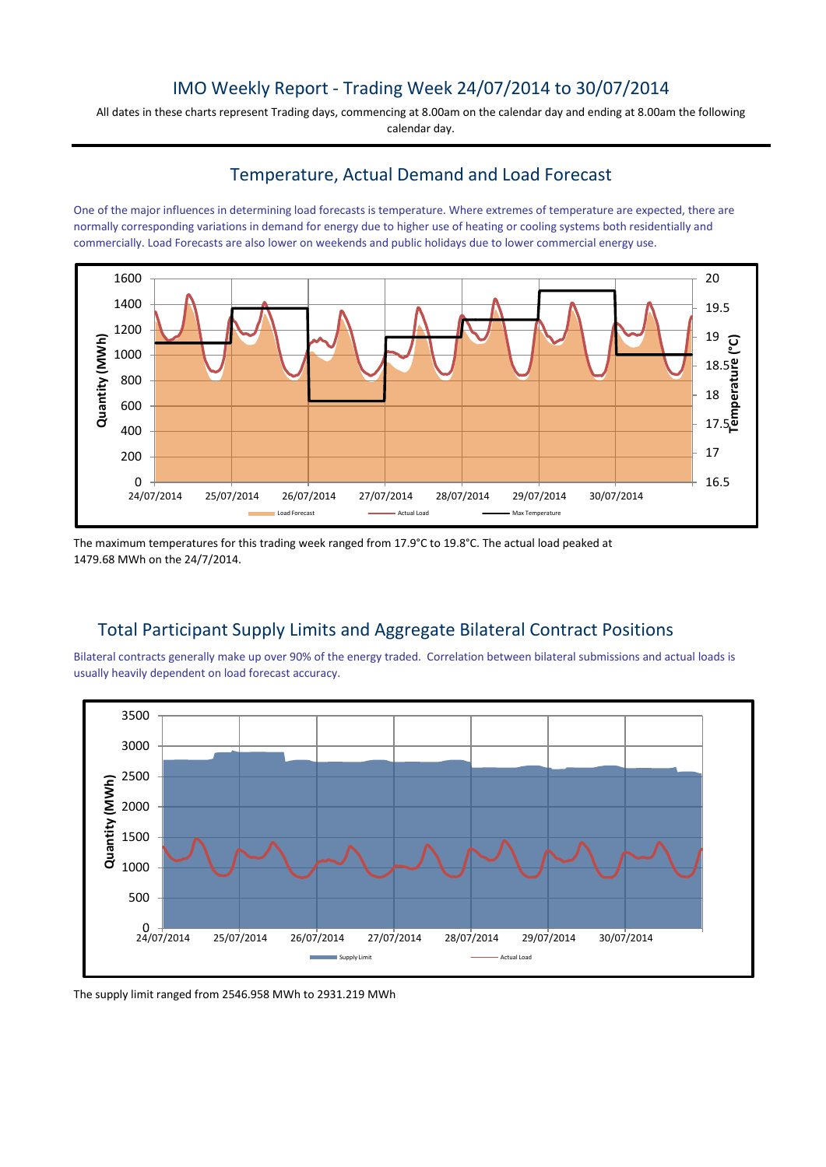## IMO Weekly Report - Trading Week 24/07/2014 to 30/07/2014

All dates in these charts represent Trading days, commencing at 8.00am on the calendar day and ending at 8.00am the following calendar day.

#### Temperature, Actual Demand and Load Forecast

One of the major influences in determining load forecasts is temperature. Where extremes of temperature are expected, there are normally corresponding variations in demand for energy due to higher use of heating or cooling systems both residentially and commercially. Load Forecasts are also lower on weekends and public holidays due to lower commercial energy use.



The maximum temperatures for this trading week ranged from 17.9°C to 19.8°C. The actual load peaked at 1479.68 MWh on the 24/7/2014.

# Total Participant Supply Limits and Aggregate Bilateral Contract Positions

Bilateral contracts generally make up over 90% of the energy traded. Correlation between bilateral submissions and actual loads is usually heavily dependent on load forecast accuracy.



The supply limit ranged from 2546.958 MWh to 2931.219 MWh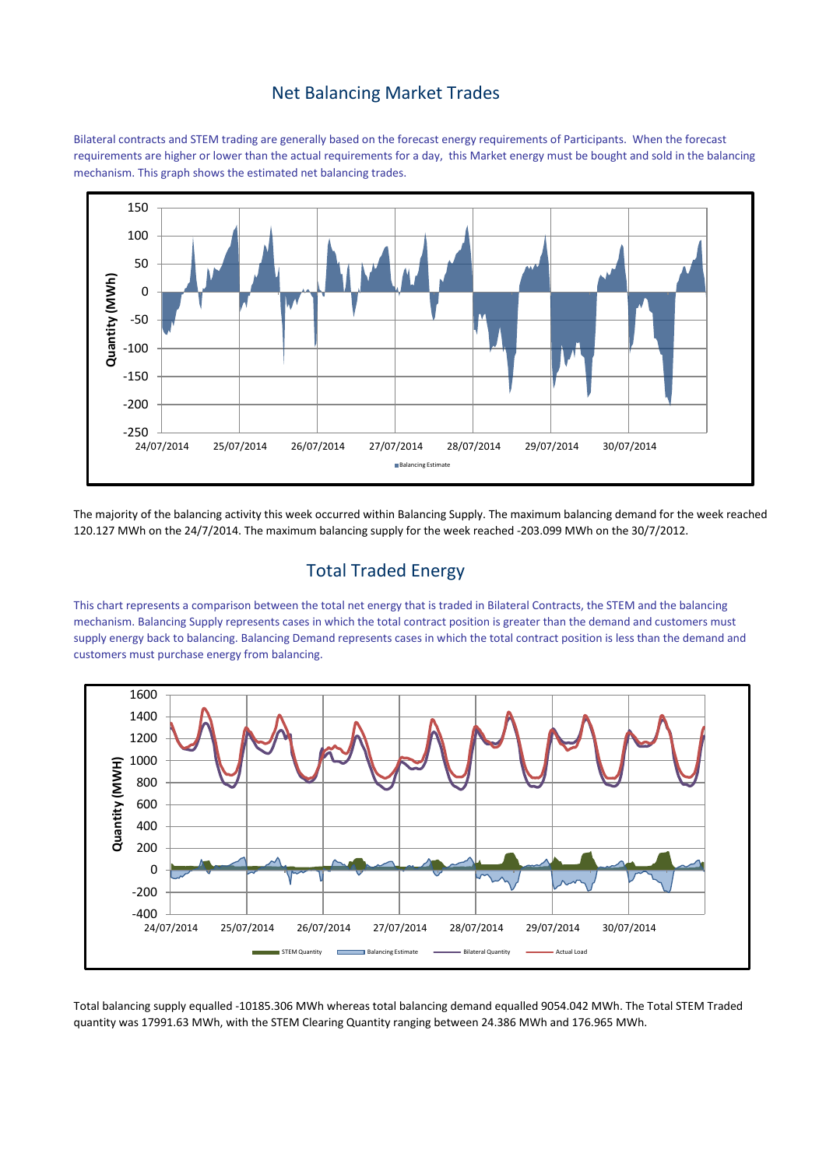#### Net Balancing Market Trades

Bilateral contracts and STEM trading are generally based on the forecast energy requirements of Participants. When the forecast requirements are higher or lower than the actual requirements for a day, this Market energy must be bought and sold in the balancing mechanism. This graph shows the estimated net balancing trades.



The majority of the balancing activity this week occurred within Balancing Supply. The maximum balancing demand for the week reached 120.127 MWh on the 24/7/2014. The maximum balancing supply for the week reached -203.099 MWh on the 30/7/2012.

# Total Traded Energy

This chart represents a comparison between the total net energy that is traded in Bilateral Contracts, the STEM and the balancing mechanism. Balancing Supply represents cases in which the total contract position is greater than the demand and customers must supply energy back to balancing. Balancing Demand represents cases in which the total contract position is less than the demand and customers must purchase energy from balancing.



Total balancing supply equalled -10185.306 MWh whereas total balancing demand equalled 9054.042 MWh. The Total STEM Traded quantity was 17991.63 MWh, with the STEM Clearing Quantity ranging between 24.386 MWh and 176.965 MWh.